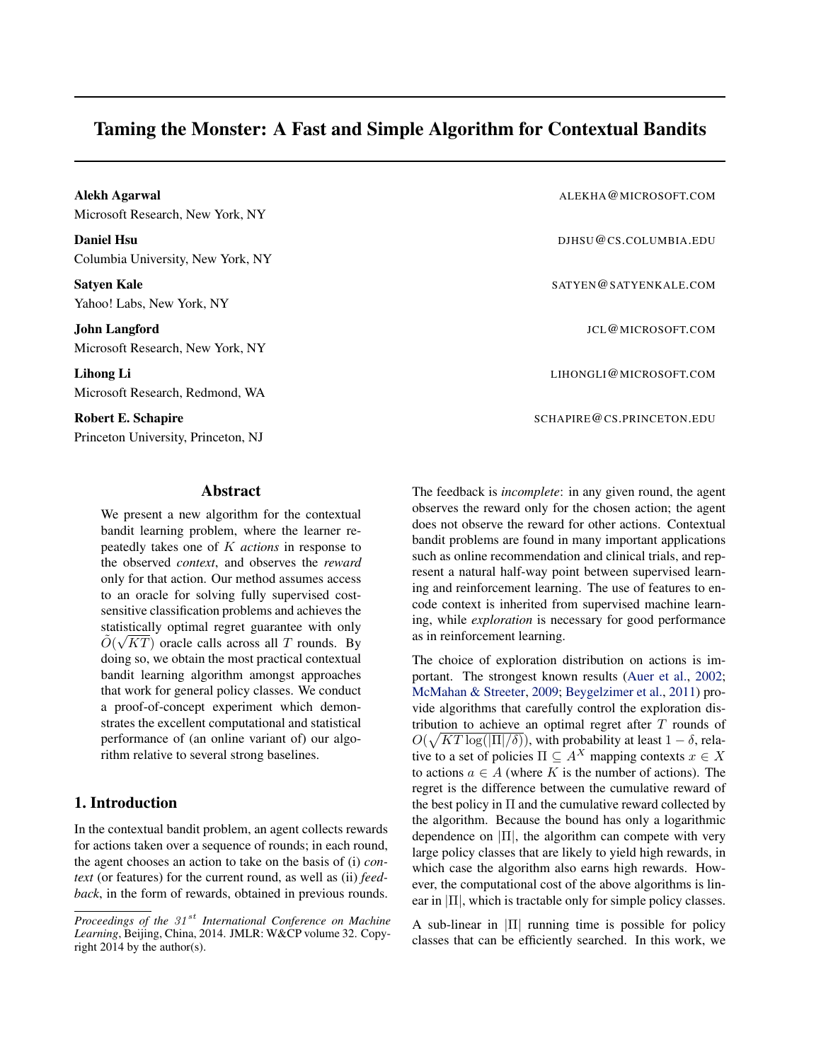# Taming the Monster: A Fast and Simple Algorithm for Contextual Bandits

Robert E. Schapire Princeton University, Princeton, NJ

### Abstract

We present a new algorithm for the contextual bandit learning problem, where the learner repeatedly takes one of K *actions* in response to the observed *context*, and observes the *reward* only for that action. Our method assumes access to an oracle for solving fully supervised costsensitive classification problems and achieves the statistically optimal regret guarantee with only  $\tilde{O}(\sqrt{KT})$  oracle calls across all T rounds. By doing so, we obtain the most practical contextual bandit learning algorithm amongst approaches that work for general policy classes. We conduct a proof-of-concept experiment which demonstrates the excellent computational and statistical performance of (an online variant of) our algorithm relative to several strong baselines.

# 1. Introduction

In the contextual bandit problem, an agent collects rewards for actions taken over a sequence of rounds; in each round, the agent chooses an action to take on the basis of (i) *context* (or features) for the current round, as well as (ii) *feedback*, in the form of rewards, obtained in previous rounds.

| Alekh Agarwal<br>Microsoft Research, New York, NY         | ALEKHA@MICROSOFT.COM      |
|-----------------------------------------------------------|---------------------------|
| <b>Daniel Hsu</b><br>Columbia University, New York, NY    | DJHSU@CS.COLUMBIA.EDU     |
| Satyen Kale<br>Yahoo! Labs, New York, NY                  | SATYEN@SATYENKALE.COM     |
| John Langford<br>Microsoft Research, New York, NY         | JCL@MICROSOFT.COM         |
| Lihong Li<br>Microsoft Research, Redmond, WA              | LIHONGLI@MICROSOFT.COM    |
| Robert E. Schapire<br>Princeton University. Princeton. NJ | SCHAPIRE@CS.PRINCETON.EDU |

The feedback is *incomplete*: in any given round, the agent observes the reward only for the chosen action; the agent does not observe the reward for other actions. Contextual bandit problems are found in many important applications such as online recommendation and clinical trials, and represent a natural half-way point between supervised learning and reinforcement learning. The use of features to encode context is inherited from supervised machine learning, while *exploration* is necessary for good performance as in reinforcement learning.

The choice of exploration distribution on actions is important. The strongest known results [\(Auer et al.,](#page-8-0) [2002;](#page-8-0) [McMahan & Streeter,](#page-8-0) [2009;](#page-8-0) [Beygelzimer et al.,](#page-8-0) [2011\)](#page-8-0) provide algorithms that carefully control the exploration distribution to achieve an optimal regret after  $T$  rounds of  $O(\sqrt{KT\log(|\Pi|/\delta)})$ , with probability at least  $1-\delta$ , relative to a set of policies  $\Pi \subseteq A^X$  mapping contexts  $x \in X$ to actions  $a \in A$  (where K is the number of actions). The regret is the difference between the cumulative reward of the best policy in  $\Pi$  and the cumulative reward collected by the algorithm. Because the bound has only a logarithmic dependence on  $|\Pi|$ , the algorithm can compete with very large policy classes that are likely to yield high rewards, in which case the algorithm also earns high rewards. However, the computational cost of the above algorithms is linear in  $|\Pi|$ , which is tractable only for simple policy classes.

A sub-linear in  $|\Pi|$  running time is possible for policy classes that can be efficiently searched. In this work, we

*Proceedings of the 31<sup>st</sup> International Conference on Machine Learning*, Beijing, China, 2014. JMLR: W&CP volume 32. Copyright 2014 by the author(s).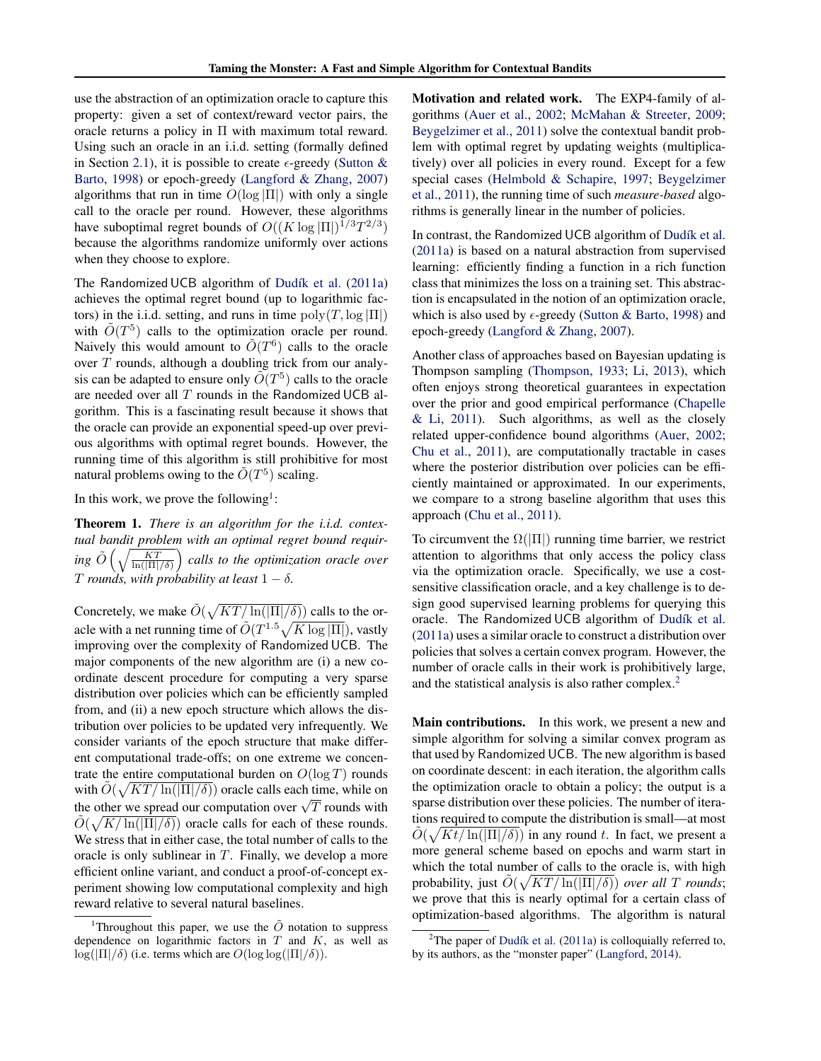use the abstraction of an optimization oracle to capture this property: given a set of context/reward vector pairs, the oracle returns a policy in Π with maximum total reward. Using such an oracle in an i.i.d. setting (formally defined in Section [2.1\)](#page-2-0), it is possible to create  $\epsilon$ -greedy [\(Sutton &](#page-8-0) [Barto,](#page-8-0) [1998\)](#page-8-0) or epoch-greedy [\(Langford & Zhang,](#page-8-0) [2007\)](#page-8-0) algorithms that run in time  $O(\log |\Pi|)$  with only a single call to the oracle per round. However, these algorithms have suboptimal regret bounds of  $O((K \log |\Pi|)^{1/3} T^{2/3})$ because the algorithms randomize uniformly over actions when they choose to explore.

The Randomized UCB algorithm of Dudík et al. [\(2011a\)](#page-8-0) achieves the optimal regret bound (up to logarithmic factors) in the i.i.d. setting, and runs in time  $poly(T, \log |\Pi|)$ with  $\tilde{O}(T^5)$  calls to the optimization oracle per round. Naively this would amount to  $\tilde{O}(T^6)$  calls to the oracle over  $T$  rounds, although a doubling trick from our analysis can be adapted to ensure only  $\tilde{O}(T^5)$  calls to the oracle are needed over all  $T$  rounds in the Randomized UCB algorithm. This is a fascinating result because it shows that the oracle can provide an exponential speed-up over previous algorithms with optimal regret bounds. However, the running time of this algorithm is still prohibitive for most natural problems owing to the  $\tilde{O}(T^5)$  scaling.

In this work, we prove the following<sup>1</sup>:

Theorem 1. *There is an algorithm for the i.i.d. contextual bandit problem with an optimal regret bound requir-* $\log\tilde{O}\left(\sqrt{\frac{KT}{\ln(|\Pi|/\delta)}}\right)$  calls to the optimization oracle over *T* rounds, with probability at least  $1 - \delta$ .

Concretely, we make  $\tilde{O}(\sqrt{KT/\ln(|\Pi|/\delta)})$  calls to the oracle with a net running time of  $\tilde{O}(T^{1.5}\sqrt{K \log |\Pi|})$ , vastly improving over the complexity of Randomized UCB. The major components of the new algorithm are (i) a new coordinate descent procedure for computing a very sparse distribution over policies which can be efficiently sampled from, and (ii) a new epoch structure which allows the distribution over policies to be updated very infrequently. We consider variants of the epoch structure that make different computational trade-offs; on one extreme we concentrate the entire computational burden on  $O(\log T)$  rounds with  $\tilde{O}(\sqrt{KT/\ln(|\Pi|/\delta)})$  oracle calls each time, while on with  $O(\sqrt{N}T/\ln(|H|/\theta))$  oracle cans each time, while on<br>the other we spread our computation over  $\sqrt{T}$  rounds with  $\tilde{O}(\sqrt{K/\ln(|\Pi|/\delta)})$  oracle calls for each of these rounds. We stress that in either case, the total number of calls to the oracle is only sublinear in  $T$ . Finally, we develop a more efficient online variant, and conduct a proof-of-concept experiment showing low computational complexity and high reward relative to several natural baselines.

Motivation and related work. The EXP4-family of algorithms [\(Auer et al.,](#page-8-0) [2002;](#page-8-0) [McMahan & Streeter,](#page-8-0) [2009;](#page-8-0) [Beygelzimer et al.,](#page-8-0) [2011\)](#page-8-0) solve the contextual bandit problem with optimal regret by updating weights (multiplicatively) over all policies in every round. Except for a few special cases [\(Helmbold & Schapire,](#page-8-0) [1997;](#page-8-0) [Beygelzimer](#page-8-0) [et al.,](#page-8-0) [2011\)](#page-8-0), the running time of such *measure-based* algorithms is generally linear in the number of policies.

In contrast, the Randomized UCB algorithm of Dudík et al. [\(2011a\)](#page-8-0) is based on a natural abstraction from supervised learning: efficiently finding a function in a rich function class that minimizes the loss on a training set. This abstraction is encapsulated in the notion of an optimization oracle, which is also used by  $\epsilon$ -greedy [\(Sutton & Barto,](#page-8-0) [1998\)](#page-8-0) and epoch-greedy [\(Langford & Zhang,](#page-8-0) [2007\)](#page-8-0).

Another class of approaches based on Bayesian updating is Thompson sampling [\(Thompson,](#page-8-0) [1933;](#page-8-0) [Li,](#page-8-0) [2013\)](#page-8-0), which often enjoys strong theoretical guarantees in expectation over the prior and good empirical performance [\(Chapelle](#page-8-0) [& Li,](#page-8-0) [2011\)](#page-8-0). Such algorithms, as well as the closely related upper-confidence bound algorithms [\(Auer,](#page-8-0) [2002;](#page-8-0) [Chu et al.,](#page-8-0) [2011\)](#page-8-0), are computationally tractable in cases where the posterior distribution over policies can be efficiently maintained or approximated. In our experiments, we compare to a strong baseline algorithm that uses this approach [\(Chu et al.,](#page-8-0) [2011\)](#page-8-0).

To circumvent the  $\Omega(|\Pi|)$  running time barrier, we restrict attention to algorithms that only access the policy class via the optimization oracle. Specifically, we use a costsensitive classification oracle, and a key challenge is to design good supervised learning problems for querying this oracle. The Randomized UCB algorithm of Dudík et al. [\(2011a\)](#page-8-0) uses a similar oracle to construct a distribution over policies that solves a certain convex program. However, the number of oracle calls in their work is prohibitively large, and the statistical analysis is also rather complex.<sup>2</sup>

Main contributions. In this work, we present a new and simple algorithm for solving a similar convex program as that used by Randomized UCB. The new algorithm is based on coordinate descent: in each iteration, the algorithm calls the optimization oracle to obtain a policy; the output is a sparse distribution over these policies. The number of iterations required to compute the distribution is small—at most  $\tilde{O}(\sqrt{Kt/\ln(|\Pi|/\delta)})$  in any round t. In fact, we present a more general scheme based on epochs and warm start in which the total number of calls to the oracle is, with high probability, just  $\tilde{O}(\sqrt{KT/\ln(|\Pi|/\delta)})$  *over all T rounds*; we prove that this is nearly optimal for a certain class of optimization-based algorithms. The algorithm is natural

<sup>&</sup>lt;sup>1</sup>Throughout this paper, we use the  $\tilde{O}$  notation to suppress dependence on logarithmic factors in  $T$  and  $K$ , as well as  $\log(|\Pi|/\delta)$  (i.e. terms which are  $O(\log \log(|\Pi|/\delta))$ .

<sup>&</sup>lt;sup>2</sup>The paper of Dudík et al. [\(2011a\)](#page-8-0) is colloquially referred to, by its authors, as the "monster paper" [\(Langford,](#page-8-0) [2014\)](#page-8-0).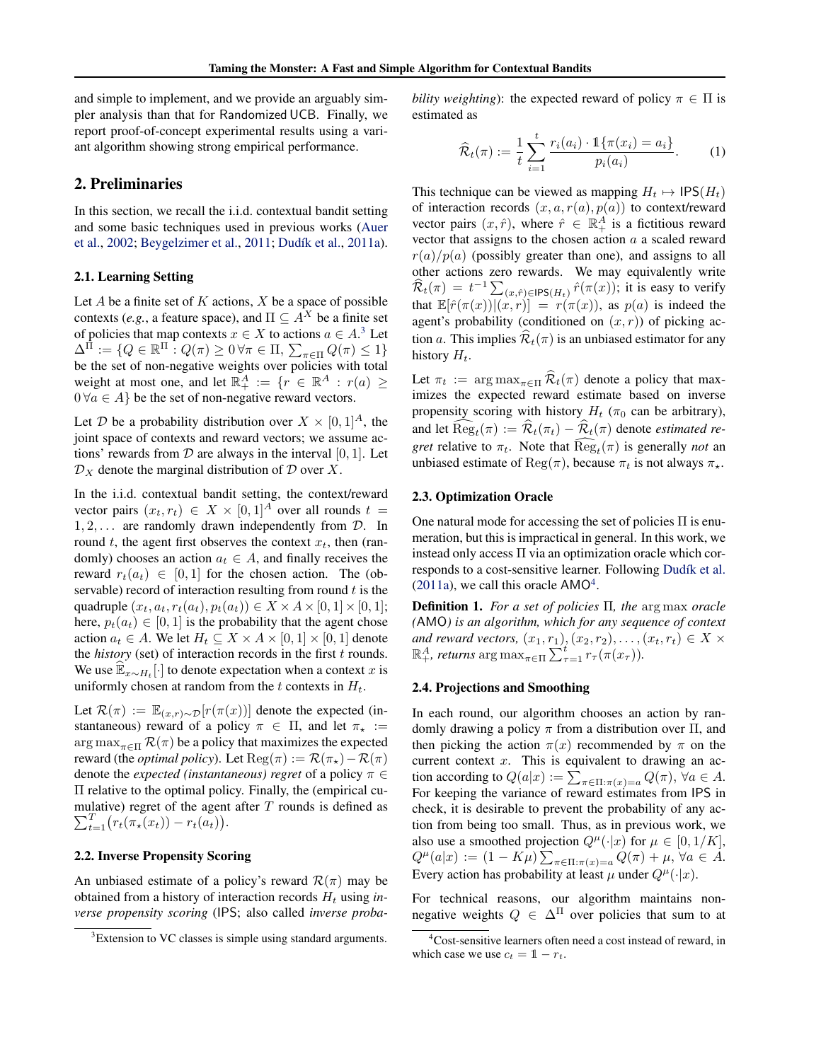<span id="page-2-0"></span>and simple to implement, and we provide an arguably simpler analysis than that for Randomized UCB. Finally, we report proof-of-concept experimental results using a variant algorithm showing strong empirical performance.

# 2. Preliminaries

In this section, we recall the i.i.d. contextual bandit setting and some basic techniques used in previous works [\(Auer](#page-8-0) [et al.,](#page-8-0) [2002;](#page-8-0) [Beygelzimer et al.,](#page-8-0) [2011;](#page-8-0) Dudík et al., [2011a\)](#page-8-0).

### 2.1. Learning Setting

Let  $A$  be a finite set of  $K$  actions,  $X$  be a space of possible contexts (*e.g.*, a feature space), and  $\Pi \subseteq A^X$  be a finite set of policies that map contexts  $x \in X$  to actions  $a \in A$ .<sup>3</sup> Let  $\Delta^{\bar{\Pi}} := \{ Q \in \mathbb{R}^{\Pi} : Q(\pi) \geq 0 \,\forall \pi \in \Pi, \, \sum_{\pi \in \Pi} Q(\pi) \leq 1 \}$ be the set of non-negative weights over policies with total weight at most one, and let  $\mathbb{R}^A_+ := \{r \in \mathbb{R}^A : r(a) \geq$  $0 \forall a \in A$  be the set of non-negative reward vectors.

Let D be a probability distribution over  $X \times [0,1]^A$ , the joint space of contexts and reward vectors; we assume actions' rewards from  $D$  are always in the interval [0, 1]. Let  $\mathcal{D}_X$  denote the marginal distribution of  $\mathcal D$  over X.

In the i.i.d. contextual bandit setting, the context/reward vector pairs  $(x_t, r_t) \in X \times [0, 1]^A$  over all rounds  $t =$  $1, 2, \ldots$  are randomly drawn independently from  $\mathcal{D}$ . In round t, the agent first observes the context  $x_t$ , then (randomly) chooses an action  $a_t \in A$ , and finally receives the reward  $r_t(a_t) \in [0,1]$  for the chosen action. The (observable) record of interaction resulting from round  $t$  is the quadruple  $(x_t, a_t, r_t(a_t), p_t(a_t)) \in X \times A \times [0, 1] \times [0, 1];$ here,  $p_t(a_t) \in [0, 1]$  is the probability that the agent chose action  $a_t \in A$ . We let  $H_t \subseteq X \times A \times [0,1] \times [0,1]$  denote the *history* (set) of interaction records in the first  $t$  rounds. We use  $\widehat{\mathbb{E}}_{x \sim H_t}$ [·] to denote expectation when a context x is uniformly chosen at random from the t contexts in  $H_t$ .

Let  $\mathcal{R}(\pi) := \mathbb{E}_{(x,r)\sim \mathcal{D}}[r(\pi(x))]$  denote the expected (instantaneous) reward of a policy  $\pi \in \Pi$ , and let  $\pi_{\star} :=$  $\arg \max_{\pi \in \Pi} \mathcal{R}(\pi)$  be a policy that maximizes the expected reward (the *optimal policy*). Let  $\text{Reg}(\pi) := \mathcal{R}(\pi_{\star}) - \mathcal{R}(\pi)$ denote the *expected (instantaneous) regret* of a policy π ∈ Π relative to the optimal policy. Finally, the (empirical cumulative) regret of the agent after  $T$  rounds is defined as  $\sum_{t=1}^{T} (r_t(\pi_\star(x_t)) - r_t(a_t)).$ 

### 2.2. Inverse Propensity Scoring

An unbiased estimate of a policy's reward  $\mathcal{R}(\pi)$  may be obtained from a history of interaction records  $H_t$  using *inverse propensity scoring* (IPS; also called *inverse proba-* *bility weighting*): the expected reward of policy  $\pi \in \Pi$  is estimated as

$$
\widehat{\mathcal{R}}_t(\pi) := \frac{1}{t} \sum_{i=1}^t \frac{r_i(a_i) \cdot \mathbb{1}\{\pi(x_i) = a_i\}}{p_i(a_i)}.
$$
 (1)

This technique can be viewed as mapping  $H_t \mapsto \text{IPS}(H_t)$ of interaction records  $(x, a, r(a), p(a))$  to context/reward vector pairs  $(x, \hat{r})$ , where  $\hat{r} \in \mathbb{R}_+^A$  is a fictitious reward vector that assigns to the chosen action  $a$  a scaled reward  $r(a)/p(a)$  (possibly greater than one), and assigns to all other actions zero rewards. We may equivalently write  $\widehat{\mathcal{R}}_t(\pi) = t^{-1} \sum_{(x,\hat{r}) \in \text{IPS}(H_t)} \hat{r}(\pi(x))$ ; it is easy to verify that  $\mathbb{E}[\hat{r}(\pi(x))|(x,r)] = r(\pi(x))$ , as  $p(a)$  is indeed the agent's probability (conditioned on  $(x, r)$ ) of picking action a. This implies  $\widehat{\mathcal{R}}_t(\pi)$  is an unbiased estimator for any history  $H_t$ .

Let  $\pi_t := \arg \max_{\pi \in \Pi} \widehat{\mathcal{R}}_t(\pi)$  denote a policy that maximizes the expected reward estimate based on inverse propensity scoring with history  $H_t$  ( $\pi_0$  can be arbitrary), and let  $\text{Reg}_t(\pi) := \mathcal{R}_t(\pi_t) - \mathcal{R}_t(\pi)$  denote *estimated regret* relative to  $\pi_t$ . Note that  $\text{Reg}_t(\pi)$  is generally *not* an unbiased estimate of  $\text{Reg}(\pi)$ , because  $\pi_t$  is not always  $\pi_{\star}$ .

#### 2.3. Optimization Oracle

One natural mode for accessing the set of policies  $\Pi$  is enumeration, but this is impractical in general. In this work, we instead only access Π via an optimization oracle which corresponds to a cost-sensitive learner. Following Dudík et al.  $(2011a)$ , we call this oracle AMO<sup>4</sup>.

Definition 1. *For a set of policies* Π*, the* arg max *oracle (*AMO*) is an algorithm, which for any sequence of context and reward vectors,*  $(x_1, r_1), (x_2, r_2), \ldots, (x_t, r_t) \in X \times$  $\mathbb{R}^A_+$ *, returns*  $\arg \max_{\pi \in \Pi} \sum_{\tau=1}^t r_\tau(\pi(x_\tau)).$ 

#### 2.4. Projections and Smoothing

In each round, our algorithm chooses an action by randomly drawing a policy  $\pi$  from a distribution over  $\Pi$ , and then picking the action  $\pi(x)$  recommended by  $\pi$  on the current context  $x$ . This is equivalent to drawing an action according to  $Q(a|x) := \sum_{\pi \in \Pi: \pi(x) = a} Q(\pi)$ ,  $\forall a \in A$ . For keeping the variance of reward estimates from IPS in check, it is desirable to prevent the probability of any action from being too small. Thus, as in previous work, we also use a smoothed projection  $Q^{\mu}(\cdot|x)$  for  $\mu \in [0, 1/K]$ ,  $Q^{\mu}(a|x) := (1 - K\mu) \sum_{\pi \in \Pi: \pi(x) = a} Q(\pi) + \mu, \forall a \in A.$ Every action has probability at least  $\mu$  under  $Q^{\mu}(\cdot|x)$ .

For technical reasons, our algorithm maintains nonnegative weights  $Q \in \Delta^{\Pi}$  over policies that sum to at

<sup>&</sup>lt;sup>3</sup>Extension to VC classes is simple using standard arguments.

<sup>4</sup>Cost-sensitive learners often need a cost instead of reward, in which case we use  $c_t = 1 - r_t$ .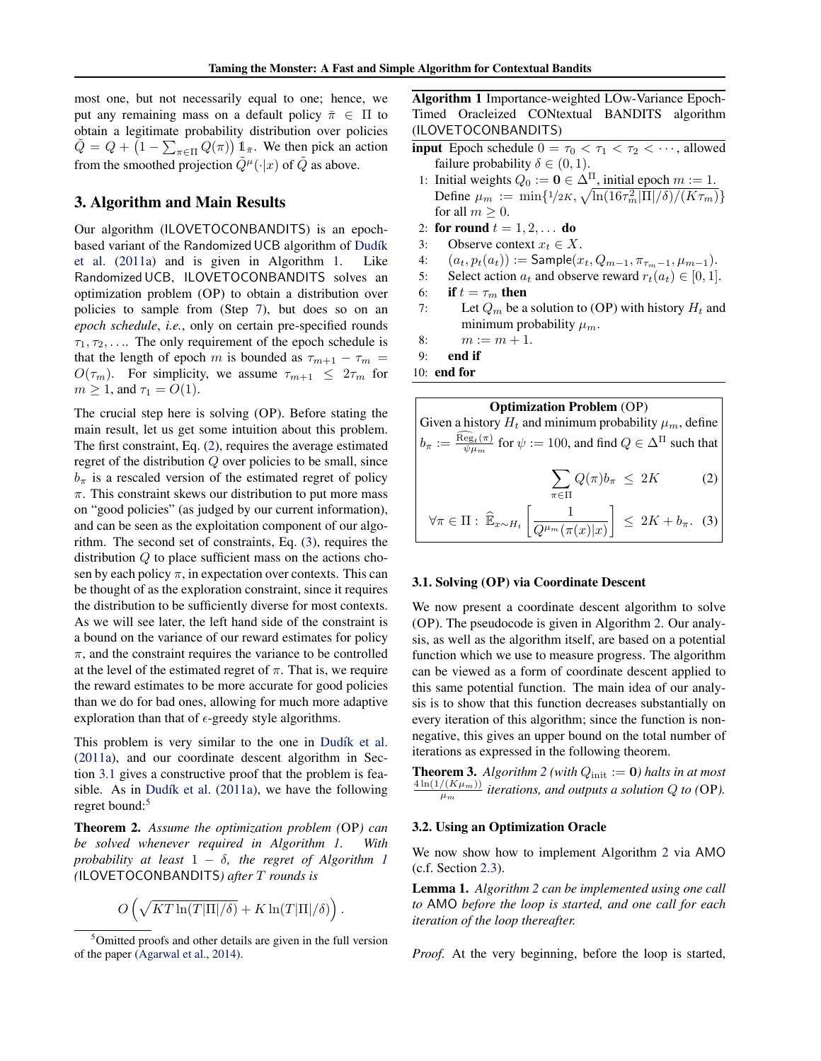<span id="page-3-0"></span>most one, but not necessarily equal to one; hence, we put any remaining mass on a default policy  $\bar{\pi} \in \Pi$  to obtain a legitimate probability distribution over policies  $\tilde{Q} = Q + (1 - \sum_{\pi \in \Pi} Q(\pi)) 1_{\bar{\pi}}$ . We then pick an action from the smoothed projection  $\tilde{Q}^{\mu}(\cdot|x)$  of  $\tilde{Q}$  as above.

# 3. Algorithm and Main Results

Our algorithm (ILOVETOCONBANDITS) is an epochbased variant of the Randomized UCB algorithm of Dudík [et al.](#page-8-0) [\(2011a\)](#page-8-0) and is given in Algorithm 1. Like Randomized UCB, ILOVETOCONBANDITS solves an optimization problem (OP) to obtain a distribution over policies to sample from (Step 7), but does so on an *epoch schedule*, *i.e.*, only on certain pre-specified rounds  $\tau_1, \tau_2, \ldots$  The only requirement of the epoch schedule is that the length of epoch m is bounded as  $\tau_{m+1} - \tau_m =$  $O(\tau_m)$ . For simplicity, we assume  $\tau_{m+1} \leq 2\tau_m$  for  $m \geq 1$ , and  $\tau_1 = O(1)$ .

The crucial step here is solving (OP). Before stating the main result, let us get some intuition about this problem. The first constraint, Eq. (2), requires the average estimated regret of the distribution Q over policies to be small, since  $b_{\pi}$  is a rescaled version of the estimated regret of policy  $\pi$ . This constraint skews our distribution to put more mass on "good policies" (as judged by our current information), and can be seen as the exploitation component of our algorithm. The second set of constraints, Eq. (3), requires the distribution Q to place sufficient mass on the actions chosen by each policy  $\pi$ , in expectation over contexts. This can be thought of as the exploration constraint, since it requires the distribution to be sufficiently diverse for most contexts. As we will see later, the left hand side of the constraint is a bound on the variance of our reward estimates for policy  $\pi$ , and the constraint requires the variance to be controlled at the level of the estimated regret of  $\pi$ . That is, we require the reward estimates to be more accurate for good policies than we do for bad ones, allowing for much more adaptive exploration than that of  $\epsilon$ -greedy style algorithms.

This problem is very similar to the one in Dudík et al. [\(2011a\)](#page-8-0), and our coordinate descent algorithm in Section 3.1 gives a constructive proof that the problem is feasible. As in Dudík et al.  $(2011a)$ , we have the following regret bound:<sup>5</sup>

Theorem 2. *Assume the optimization problem (*OP*) can be solved whenever required in Algorithm 1. With probability at least*  $1 - \delta$ *, the regret of Algorithm* 1 *(*ILOVETOCONBANDITS*) after* T *rounds is*

$$
O\left(\sqrt{KT\ln(T|\Pi|/\delta)} + K\ln(T|\Pi|/\delta)\right).
$$

Algorithm 1 Importance-weighted LOw-Variance Epoch-Timed Oracleized CONtextual BANDITS algorithm (ILOVETOCONBANDITS)

- **input** Epoch schedule  $0 = \tau_0 < \tau_1 < \tau_2 < \cdots$ , allowed failure probability  $\delta \in (0, 1)$ .
- 1: Initial weights  $Q_0 := \mathbf{0} \in \Delta^{\Pi}$ , initial epoch  $m := 1$ . Define  $\mu_m := \min\{1/2K, \sqrt{\ln(16\tau_m^2|\Pi|/\delta)/(K\tau_m)}\}$ for all  $m \geq 0$ .
- 2: for round  $t = 1, 2, \ldots$  do
- 3: Observe context  $x_t \in X$ .
- 4:  $(a_t, p_t(a_t)) := \text{Sample}(x_t, Q_{m-1}, \pi_{\tau_m-1}, \mu_{m-1}).$
- 5: Select action  $a_t$  and observe reward  $r_t(a_t) \in [0, 1]$ .
- 6: if  $t = \tau_m$  then
- 7: Let  $Q_m$  be a solution to (OP) with history  $H_t$  and minimum probability  $\mu_m$ .
- 8:  $m := m + 1$ .
- 9: end if
- 10: end for

**Optimization Problem** (OP)  
\nGiven a history 
$$
H_t
$$
 and minimum probability  $\mu_m$ , define  
\n
$$
b_{\pi} := \frac{\overline{\mathrm{Reg}}_t(\pi)}{\psi \mu_m} \text{ for } \psi := 100, \text{ and find } Q \in \Delta^{\Pi} \text{ such that}
$$
\n
$$
\sum_{\pi \in \Pi} Q(\pi) b_{\pi} \leq 2K \qquad (2)
$$
\n
$$
\forall \pi \in \Pi : \widehat{\mathbb{E}}_{x \sim H_t} \left[ \frac{1}{Q^{\mu_m}(\pi(x)|x)} \right] \leq 2K + b_{\pi}. \quad (3)
$$

#### 3.1. Solving (OP) via Coordinate Descent

We now present a coordinate descent algorithm to solve (OP). The pseudocode is given in Algorithm [2.](#page-4-0) Our analysis, as well as the algorithm itself, are based on a potential function which we use to measure progress. The algorithm can be viewed as a form of coordinate descent applied to this same potential function. The main idea of our analysis is to show that this function decreases substantially on every iteration of this algorithm; since the function is nonnegative, this gives an upper bound on the total number of iterations as expressed in the following theorem.

**Theorem 3.** Algorithm [2](#page-4-0) (with  $Q_{init} := 0$ ) halts in at most  $4\ln(1/(K\mu_m))$  $\frac{f(\mathbf{A}|\mu_m)}{\mu_m}$  iterations, and outputs a solution Q to (OP).

### 3.2. Using an Optimization Oracle

We now show how to implement Algorithm [2](#page-4-0) via AMO (c.f. Section [2.3\)](#page-2-0).

Lemma 1. *Algorithm [2](#page-4-0) can be implemented using one call to* AMO *before the loop is started, and one call for each iteration of the loop thereafter.*

*Proof.* At the very beginning, before the loop is started,

<sup>&</sup>lt;sup>5</sup>Omitted proofs and other details are given in the full version of the paper [\(Agarwal et al.,](#page-7-0) [2014\)](#page-7-0).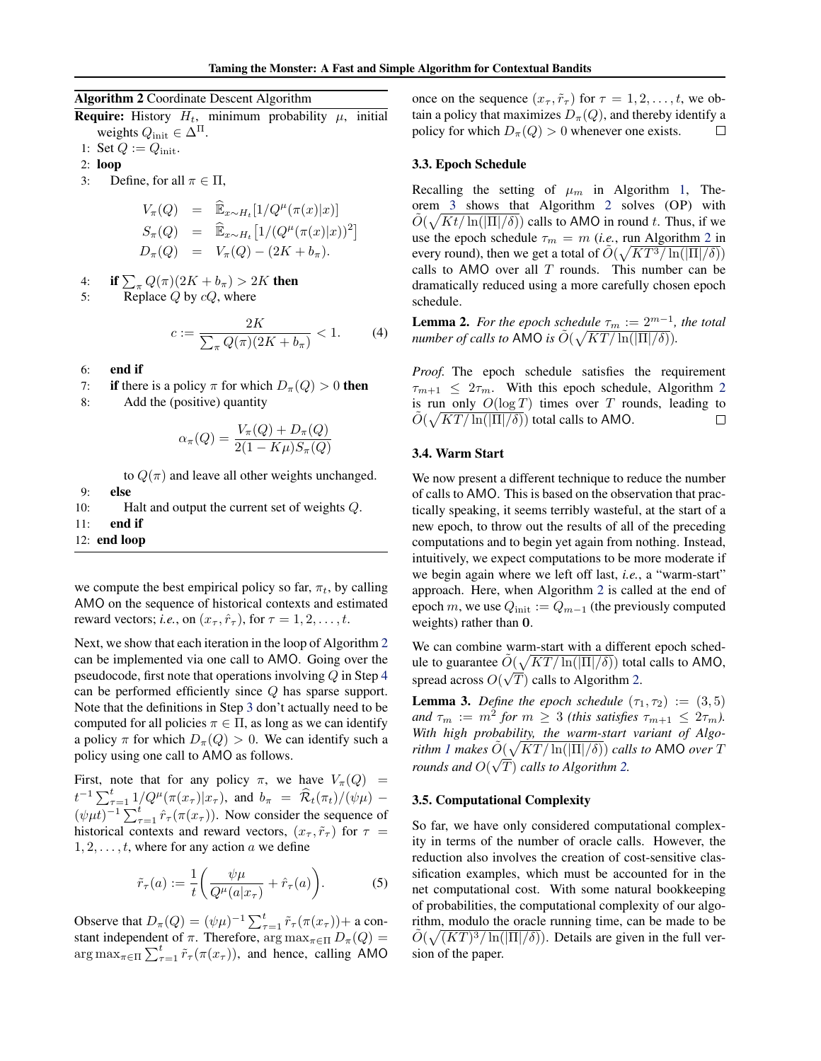<span id="page-4-0"></span>Algorithm 2 Coordinate Descent Algorithm

**Require:** History  $H_t$ , minimum probability  $\mu$ , initial weights  $Q_{\text{init}} \in \Delta^{\Pi}$ .

- 1: Set  $Q := Q_{\text{init}}$ .
- 2: loop
- 3: Define, for all  $\pi \in \Pi$ ,

$$
V_{\pi}(Q) = \widehat{\mathbb{E}}_{x \sim H_t}[1/Q^{\mu}(\pi(x)|x)]
$$
  
\n
$$
S_{\pi}(Q) = \widehat{\mathbb{E}}_{x \sim H_t}[1/(Q^{\mu}(\pi(x)|x))^2]
$$
  
\n
$$
D_{\pi}(Q) = V_{\pi}(Q) - (2K + b_{\pi}).
$$

4: if  $\sum_{\pi} Q(\pi) (2K + b_{\pi}) > 2K$  then

5: Replace  $Q$  by  $cQ$ , where

 $c := \frac{2K}{\sum_{i=1}^n C(i-i)}$  $\frac{2\pi}{\sum_{\pi} Q(\pi)(2K + b_{\pi})} < 1.$  (4)

- 6: end if
- 7: if there is a policy  $\pi$  for which  $D_{\pi}(Q) > 0$  then
- 8: Add the (positive) quantity

$$
\alpha_{\pi}(Q) = \frac{V_{\pi}(Q) + D_{\pi}(Q)}{2(1 - K\mu)S_{\pi}(Q)}
$$

to  $Q(\pi)$  and leave all other weights unchanged.

- 9: else
- 10: Halt and output the current set of weights Q.
- 11: end if
- 12: end loop

we compute the best empirical policy so far,  $\pi_t$ , by calling AMO on the sequence of historical contexts and estimated reward vectors; *i.e.*, on  $(x_\tau, \hat{r}_\tau)$ , for  $\tau = 1, 2, \ldots, t$ .

Next, we show that each iteration in the loop of Algorithm 2 can be implemented via one call to AMO. Going over the pseudocode, first note that operations involving  $Q$  in Step 4 can be performed efficiently since Q has sparse support. Note that the definitions in Step 3 don't actually need to be computed for all policies  $\pi \in \Pi$ , as long as we can identify a policy  $\pi$  for which  $D_{\pi}(Q) > 0$ . We can identify such a policy using one call to AMO as follows.

First, note that for any policy  $\pi$ , we have  $V_{\pi}(Q)$  =  $t^{-1} \sum_{\tau=1}^t 1/Q^{\mu}(\pi(x_{\tau})|x_{\tau}),$  and  $b_{\pi} = \widehat{\mathcal{R}}_t(\pi_t)/(\psi \mu) (\psi \mu t)^{-1} \sum_{\tau=1}^{t} \hat{r}_{\tau}(\pi(x_{\tau}))$ . Now consider the sequence of historical contexts and reward vectors,  $(x_{\tau}, \tilde{r}_{\tau})$  for  $\tau =$  $1, 2, \ldots, t$ , where for any action a we define

$$
\tilde{r}_{\tau}(a) := \frac{1}{t} \left( \frac{\psi \mu}{Q^{\mu}(a|x_{\tau})} + \hat{r}_{\tau}(a) \right).
$$
 (5)

Observe that  $D_{\pi}(Q) = (\psi \mu)^{-1} \sum_{\tau=1}^{t} \tilde{r}_{\tau}(\pi(x_{\tau})) +$  a constant independent of  $\pi$ . Therefore,  $\arg \max_{\pi \in \Pi} D_{\pi}(Q) =$  $\arg \max_{\pi \in \Pi} \sum_{\tau=1}^t \tilde{r}_{\tau}(\pi(x_{\tau}))$ , and hence, calling AMO once on the sequence  $(x_{\tau}, \tilde{r}_{\tau})$  for  $\tau = 1, 2, \ldots, t$ , we obtain a policy that maximizes  $D_{\pi}(Q)$ , and thereby identify a policy for which  $D_{\pi}(Q) > 0$  whenever one exists.  $\Box$ 

### 3.3. Epoch Schedule

Recalling the setting of  $\mu_m$  in Algorithm [1,](#page-3-0) Theorem [3](#page-3-0) shows that Algorithm 2 solves (OP) with  $\tilde{O}(\sqrt{Kt/\ln(|\Pi|/\delta)})$  calls to AMO in round t. Thus, if we use the epoch schedule  $\tau_m = m$  (*i.e.*, run Algorithm 2 in every round), then we get a total of  $\tilde{O}(\sqrt{KT^3/\ln(|\Pi|/\delta)})$ calls to AMO over all  $T$  rounds. This number can be dramatically reduced using a more carefully chosen epoch schedule.

**Lemma 2.** For the epoch schedule  $\tau_m := 2^{m-1}$ , the total *number of calls to* AMO *is*  $\tilde{O}(\sqrt{KT/\ln(|\Pi|/\delta)})$ .

*Proof.* The epoch schedule satisfies the requirement  $\tau_{m+1} \leq 2\tau_m$ . With this epoch schedule, Algorithm 2 is run only  $O(\log T)$  times over T rounds, leading to  $\tilde{O}(\sqrt{KT/\ln(||\Pi|/\delta)})$  total calls to AMO.  $\Box$ 

#### 3.4. Warm Start

We now present a different technique to reduce the number of calls to AMO. This is based on the observation that practically speaking, it seems terribly wasteful, at the start of a new epoch, to throw out the results of all of the preceding computations and to begin yet again from nothing. Instead, intuitively, we expect computations to be more moderate if we begin again where we left off last, *i.e.*, a "warm-start" approach. Here, when Algorithm 2 is called at the end of epoch m, we use  $Q_{\text{init}} := Q_{m-1}$  (the previously computed weights) rather than 0.

We can combine warm-start with a different epoch schedule to guarantee  $\tilde{O}(\sqrt{KT/\ln(|\Pi|/\delta)})$  total calls to AMO, spread across  $O(\sqrt{T})$  calls to Algorithm 2.

**Lemma 3.** *Define the epoch schedule*  $(\tau_1, \tau_2) := (3, 5)$ and  $\tau_m := m^2$  for  $m \geq 3$  (this satisfies  $\tau_{m+1} \leq 2\tau_m$ ). *With high probability, the warm-start variant of Algo-rithm [1](#page-3-0) makes*  $\tilde{O}(\sqrt{KT/\ln(|\Pi|/\delta)})$  *calls to* AMO *over* T *rounds and*  $O(\sqrt{T})$  *calls to Algorithm* 2.

#### 3.5. Computational Complexity

So far, we have only considered computational complexity in terms of the number of oracle calls. However, the reduction also involves the creation of cost-sensitive classification examples, which must be accounted for in the net computational cost. With some natural bookkeeping of probabilities, the computational complexity of our algorithm, modulo the oracle running time, can be made to be  $\tilde{O}(\sqrt{(KT)^3/\ln(|\Pi|/\delta)})$ . Details are given in the full version of the paper.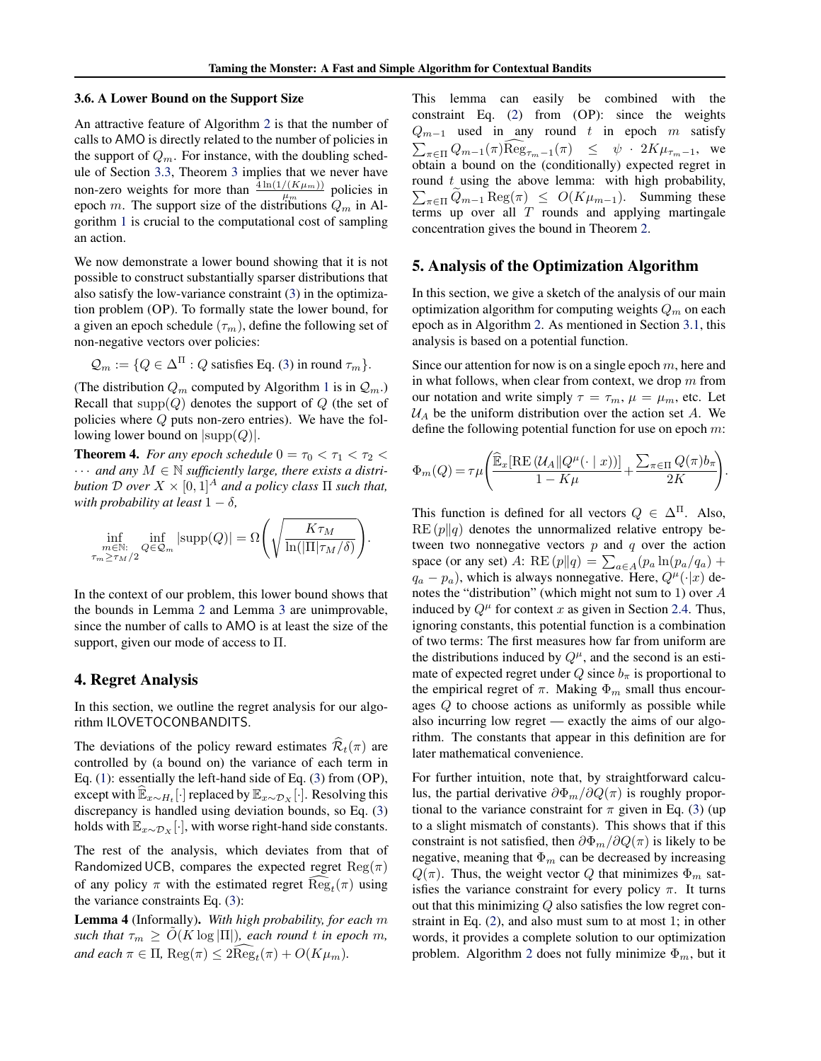### 3.6. A Lower Bound on the Support Size

An attractive feature of Algorithm [2](#page-4-0) is that the number of calls to AMO is directly related to the number of policies in the support of  $Q_m$ . For instance, with the doubling schedule of Section [3.3,](#page-4-0) Theorem [3](#page-3-0) implies that we never have non-zero weights for more than  $\frac{4 \ln(1/(K\mu_m))}{\mu_m}$  policies in epoch m. The support size of the distributions  $Q_m$  in Algorithm [1](#page-3-0) is crucial to the computational cost of sampling an action.

We now demonstrate a lower bound showing that it is not possible to construct substantially sparser distributions that also satisfy the low-variance constraint [\(3\)](#page-3-0) in the optimization problem (OP). To formally state the lower bound, for a given an epoch schedule  $(\tau_m)$ , define the following set of non-negative vectors over policies:

$$
\mathcal{Q}_m := \{ Q \in \Delta^{\Pi} : Q \text{ satisfies Eq. (3) in round } \tau_m \}.
$$

(The distribution  $Q_m$  computed by Algorithm [1](#page-3-0) is in  $Q_m$ .) Recall that  $supp(Q)$  denotes the support of  $Q$  (the set of policies where  $Q$  puts non-zero entries). We have the following lower bound on  $|\text{supp}(Q)|$ .

**Theorem 4.** *For any epoch schedule*  $0 = \tau_0 < \tau_1 < \tau_2$  $\cdots$  and any  $M \in \mathbb{N}$  sufficiently large, there exists a distri*bution* D *over*  $X \times [0, 1]^A$  *and a policy class*  $\Pi$  *such that, with probability at least*  $1 - \delta$ *,* 

$$
\inf_{\substack{m\in\mathbb{N}:\\ \tau_m\geq\tau_M/2}} \inf_{Q\in\mathcal{Q}_m} |\text{supp}(Q)| = \Omega\left(\sqrt{\frac{K\tau_M}{\ln(|\Pi|\tau_M/\delta)}}\right).
$$

In the context of our problem, this lower bound shows that the bounds in Lemma [2](#page-4-0) and Lemma [3](#page-4-0) are unimprovable, since the number of calls to AMO is at least the size of the support, given our mode of access to Π.

# 4. Regret Analysis

In this section, we outline the regret analysis for our algorithm ILOVETOCONBANDITS.

The deviations of the policy reward estimates  $\widehat{\mathcal{R}}_t(\pi)$  are controlled by (a bound on) the variance of each term in Eq. [\(1\)](#page-2-0): essentially the left-hand side of Eq. [\(3\)](#page-3-0) from (OP), except with  $\widehat{\mathbb{E}}_{x \sim H_t}$  [·] replaced by  $\mathbb{E}_{x \sim \mathcal{D}_X}$  [·]. Resolving this discrepancy is handled using deviation bounds, so Eq. [\(3\)](#page-3-0) holds with  $\mathbb{E}_{x \sim \mathcal{D}_X}[\cdot]$ , with worse right-hand side constants.

The rest of the analysis, which deviates from that of Randomized UCB, compares the expected regret  $\text{Reg}(\pi)$ of any policy  $\pi$  with the estimated regret  $\text{Reg}_t(\pi)$  using the variance constraints Eq. [\(3\)](#page-3-0):

Lemma 4 (Informally). *With high probability, for each* m *such that*  $\tau_m \geq O(K \log |\Pi|)$ *, each round t in epoch m,*  $and$  each  $\pi \in \Pi$ ,  $\text{Reg}(\pi) \leq 2\text{Reg}_t(\pi) + O(K\mu_m)$ .

This lemma can easily be combined with the constraint Eq. [\(2\)](#page-3-0) from (OP): since the weights  $Q_{m-1}$  used in any round t in epoch m satisfy  $\sum_{\pi \in \Pi} Q_{m-1}(\pi) \text{Reg}_{\tau_m-1}(\pi) \leq \psi \cdot 2K\mu_{\tau_m-1}, \text{ we}$ obtain a bound on the (conditionally) expected regret in round  $t$  using the above lemma: with high probability,  $\sum_{\pi \in \Pi} Q_{m-1} \text{Reg}(\pi) \leq O(K\mu_{m-1}).$  Summing these terms up over all  $T$  rounds and applying martingale concentration gives the bound in Theorem [2.](#page-3-0)

### 5. Analysis of the Optimization Algorithm

In this section, we give a sketch of the analysis of our main optimization algorithm for computing weights  $Q_m$  on each epoch as in Algorithm [2.](#page-4-0) As mentioned in Section [3.1,](#page-3-0) this analysis is based on a potential function.

Since our attention for now is on a single epoch  $m$ , here and in what follows, when clear from context, we drop  $m$  from our notation and write simply  $\tau = \tau_m$ ,  $\mu = \mu_m$ , etc. Let  $U_A$  be the uniform distribution over the action set A. We define the following potential function for use on epoch  $m$ :

$$
\Phi_m(Q) = \tau \mu \left( \frac{\widehat{\mathbb{E}}_x[\operatorname{RE}\left(\mathcal{U}_A || Q^\mu(\cdot \mid x)\right)]}{1 - K\mu} + \frac{\sum_{\pi \in \Pi} Q(\pi) b_\pi}{2K} \right).
$$

This function is defined for all vectors  $Q \in \Delta^{\Pi}$ . Also,  $RE(p||q)$  denotes the unnormalized relative entropy between two nonnegative vectors  $p$  and  $q$  over the action space (or any set) A: RE  $(p||q) = \sum_{a \in A} (p_a \ln(p_a/q_a) +$  $q_a - p_a$ ), which is always nonnegative. Here,  $Q^{\mu}(\cdot|x)$  denotes the "distribution" (which might not sum to 1) over A induced by  $Q^{\mu}$  for context x as given in Section [2.4.](#page-2-0) Thus, ignoring constants, this potential function is a combination of two terms: The first measures how far from uniform are the distributions induced by  $Q^{\mu}$ , and the second is an estimate of expected regret under  $Q$  since  $b_{\pi}$  is proportional to the empirical regret of  $\pi$ . Making  $\Phi_m$  small thus encourages Q to choose actions as uniformly as possible while also incurring low regret — exactly the aims of our algorithm. The constants that appear in this definition are for later mathematical convenience.

For further intuition, note that, by straightforward calculus, the partial derivative  $\partial \Phi_m / \partial Q(\pi)$  is roughly proportional to the variance constraint for  $\pi$  given in Eq. [\(3\)](#page-3-0) (up to a slight mismatch of constants). This shows that if this constraint is not satisfied, then  $\partial \Phi_m / \partial Q(\pi)$  is likely to be negative, meaning that  $\Phi_m$  can be decreased by increasing  $Q(\pi)$ . Thus, the weight vector Q that minimizes  $\Phi_m$  satisfies the variance constraint for every policy  $\pi$ . It turns out that this minimizing Q also satisfies the low regret constraint in Eq. [\(2\)](#page-3-0), and also must sum to at most 1; in other words, it provides a complete solution to our optimization problem. Algorithm [2](#page-4-0) does not fully minimize  $\Phi_m$ , but it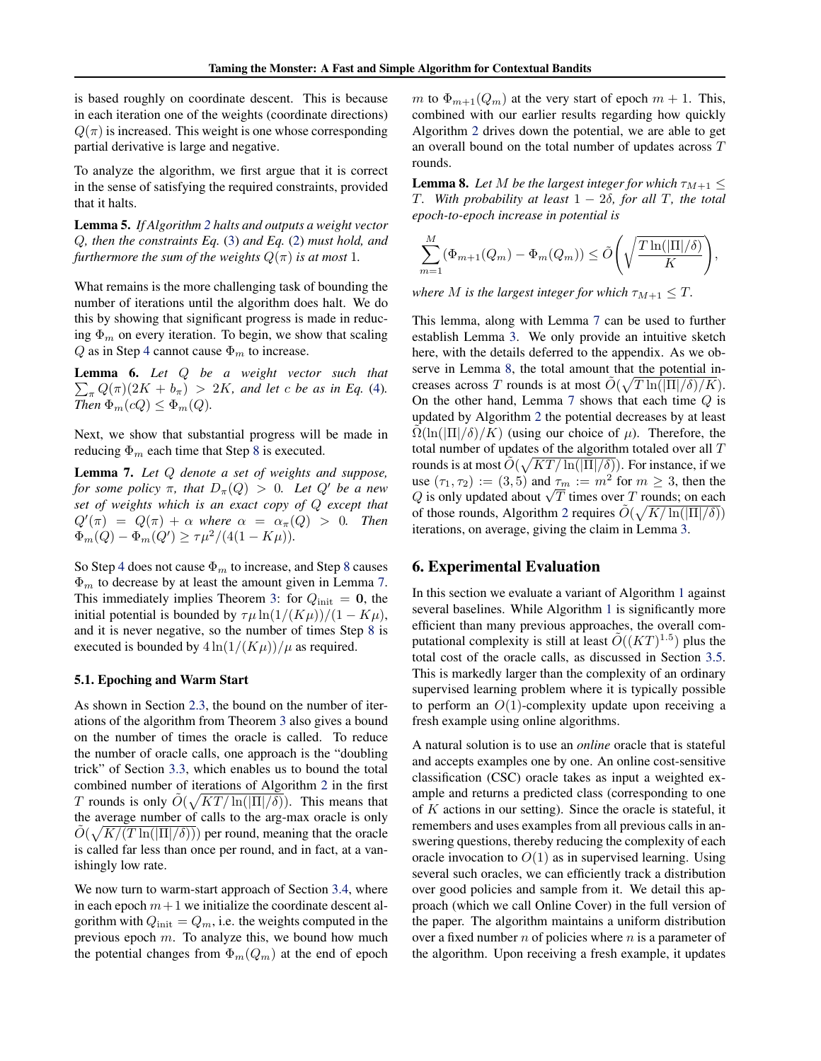is based roughly on coordinate descent. This is because in each iteration one of the weights (coordinate directions)  $Q(\pi)$  is increased. This weight is one whose corresponding partial derivative is large and negative.

To analyze the algorithm, we first argue that it is correct in the sense of satisfying the required constraints, provided that it halts.

Lemma 5. *If Algorithm [2](#page-4-0) halts and outputs a weight vector* Q*, then the constraints Eq.* [\(3\)](#page-3-0) *and Eq.* [\(2\)](#page-3-0) *must hold, and furthermore the sum of the weights*  $Q(\pi)$  *is at most* 1*.* 

What remains is the more challenging task of bounding the number of iterations until the algorithm does halt. We do this by showing that significant progress is made in reducing  $\Phi_m$  on every iteration. To begin, we show that scaling  $Q$  as in Step [4](#page-4-0) cannot cause  $\Phi_m$  to increase.

Lemma 6. *Let* Q *be a weight vector such that*  $\sum_{\pi} Q(\pi)(2K + b_{\pi}) > 2K$ , and let c be as in Eq. [\(4\)](#page-4-0). *Then*  $\Phi_m(cQ) \leq \Phi_m(Q)$ .

Next, we show that substantial progress will be made in reducing  $\Phi_m$  each time that Step [8](#page-4-0) is executed.

Lemma 7. *Let* Q *denote a set of weights and suppose, for some policy*  $\pi$ *, that*  $D_{\pi}(Q) > 0$ *. Let*  $Q'$  *be a new set of weights which is an exact copy of* Q *except that*  $Q'(\pi) = Q(\pi) + \alpha$  where  $\alpha = \alpha_{\pi}(Q) > 0$ . Then  $\Phi_m(Q) - \Phi_m(Q') \ge \tau \mu^2/(4(1 - K\mu)).$ 

So Step [4](#page-4-0) does not cause  $\Phi_m$  to increase, and Step [8](#page-4-0) causes  $\Phi_m$  to decrease by at least the amount given in Lemma 7. This immediately implies Theorem [3:](#page-3-0) for  $Q_{init} = 0$ , the initial potential is bounded by  $\tau \mu \ln(1/(K\mu))/(1 - K\mu)$ , and it is never negative, so the number of times Step [8](#page-4-0) is executed is bounded by  $4 \ln(1/(K\mu))/\mu$  as required.

#### 5.1. Epoching and Warm Start

As shown in Section [2.3,](#page-2-0) the bound on the number of iterations of the algorithm from Theorem [3](#page-3-0) also gives a bound on the number of times the oracle is called. To reduce the number of oracle calls, one approach is the "doubling trick" of Section [3.3,](#page-4-0) which enables us to bound the total combined number of iterations of Algorithm [2](#page-4-0) in the first T rounds is only  $\tilde{O}(\sqrt{KT/\ln(|\Pi|/\delta)})$ . This means that the average number of calls to the arg-max oracle is only  $\tilde{O}(\sqrt{K/(T \ln(|\Pi|/\delta))})$  per round, meaning that the oracle is called far less than once per round, and in fact, at a vanishingly low rate.

We now turn to warm-start approach of Section [3.4,](#page-4-0) where in each epoch  $m+1$  we initialize the coordinate descent algorithm with  $Q_{init} = Q_m$ , i.e. the weights computed in the previous epoch m. To analyze this, we bound how much the potential changes from  $\Phi_m(Q_m)$  at the end of epoch m to  $\Phi_{m+1}(Q_m)$  at the very start of epoch  $m+1$ . This, combined with our earlier results regarding how quickly Algorithm [2](#page-4-0) drives down the potential, we are able to get an overall bound on the total number of updates across T rounds.

**Lemma 8.** Let M be the largest integer for which  $\tau_{M+1} \leq$ T*. With probability at least* 1 − 2δ*, for all* T*, the total epoch-to-epoch increase in potential is*

$$
\sum_{m=1}^{M} (\Phi_{m+1}(Q_m) - \Phi_m(Q_m)) \le \tilde{O}\left(\sqrt{\frac{T \ln(|\Pi|/\delta)}{K}}\right),
$$

*where M is the largest integer for which*  $\tau_{M+1} \leq T$ *.* 

This lemma, along with Lemma 7 can be used to further establish Lemma [3.](#page-4-0) We only provide an intuitive sketch here, with the details deferred to the appendix. As we observe in Lemma 8, the total amount that the potential increases across T rounds is at most  $\tilde{O}(\sqrt{T \ln(|\Pi|/\delta)/K})$ . On the other hand, Lemma  $7$  shows that each time  $Q$  is updated by Algorithm [2](#page-4-0) the potential decreases by at least  $\Omega(\ln(|\Pi|/\delta)/K)$  (using our choice of  $\mu$ ). Therefore, the total number of updates of the algorithm totaled over all T rounds is at most  $\tilde{O}(\sqrt{KT/\ln(|\Pi|/\delta)})$ . For instance, if we use  $(\tau_1, \tau_2) := (3, 5)$  and  $\tau_m := m^2$  for  $m \geq 3$ , then the use  $(\tau_1, \tau_2) := (3, 5)$  and  $\tau_m := m$  for  $m \ge 3$ , then the Q is only updated about  $\sqrt{T}$  times over T rounds; on each of those rounds, Algorithm [2](#page-4-0) requires  $\tilde{O}(\sqrt{K/\ln(|\Pi|/\delta)})$ iterations, on average, giving the claim in Lemma [3.](#page-4-0)

# 6. Experimental Evaluation

In this section we evaluate a variant of Algorithm [1](#page-3-0) against several baselines. While Algorithm [1](#page-3-0) is significantly more efficient than many previous approaches, the overall computational complexity is still at least  $\tilde{O}((KT)^{1.5})$  plus the total cost of the oracle calls, as discussed in Section [3.5.](#page-4-0) This is markedly larger than the complexity of an ordinary supervised learning problem where it is typically possible to perform an  $O(1)$ -complexity update upon receiving a fresh example using online algorithms.

A natural solution is to use an *online* oracle that is stateful and accepts examples one by one. An online cost-sensitive classification (CSC) oracle takes as input a weighted example and returns a predicted class (corresponding to one of  $K$  actions in our setting). Since the oracle is stateful, it remembers and uses examples from all previous calls in answering questions, thereby reducing the complexity of each oracle invocation to  $O(1)$  as in supervised learning. Using several such oracles, we can efficiently track a distribution over good policies and sample from it. We detail this approach (which we call Online Cover) in the full version of the paper. The algorithm maintains a uniform distribution over a fixed number  $n$  of policies where  $n$  is a parameter of the algorithm. Upon receiving a fresh example, it updates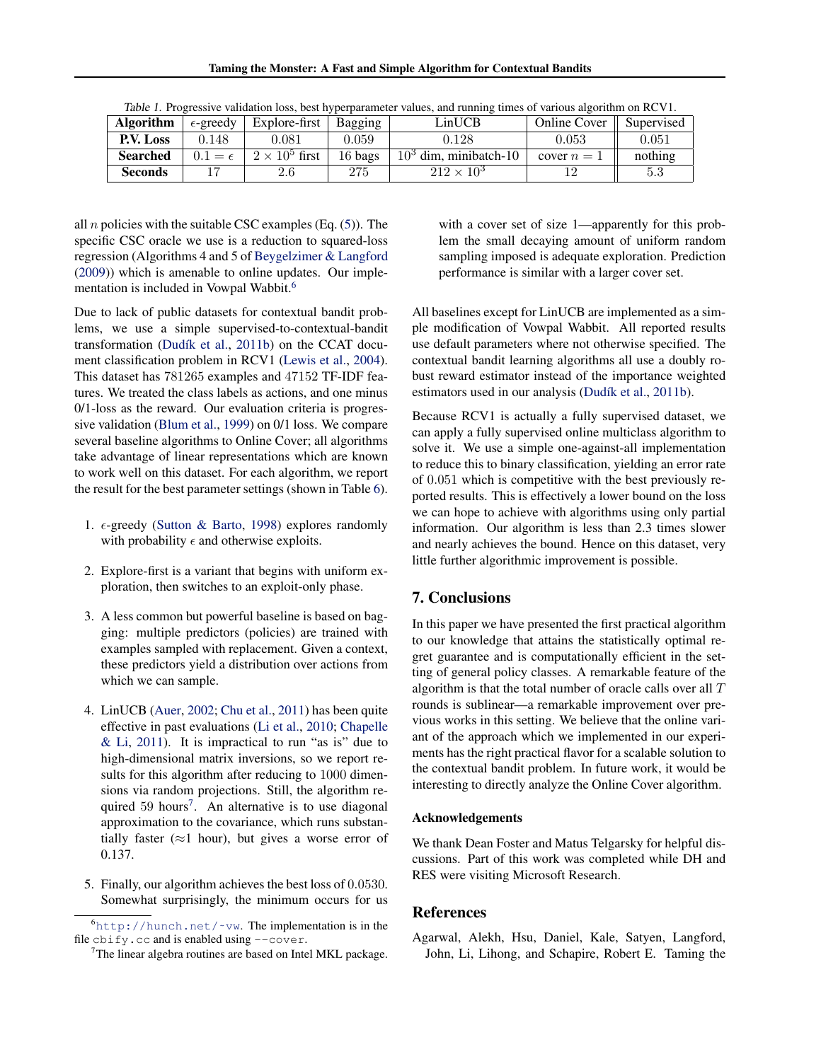<span id="page-7-0"></span>

| <b>Algorithm</b> | $\epsilon$ -greedy | Explore-first         | Bagging   | LinUCB                  | <b>Online Cover</b> | Supervised |
|------------------|--------------------|-----------------------|-----------|-------------------------|---------------------|------------|
| <b>P.V. Loss</b> | 0.148              | 0.081                 | $0.059\,$ | 9.128                   | $\,0.053\,$         | 0.051      |
| <b>Searched</b>  | $0.1 = \epsilon$   | $2 \times 10^5$ first | 16 bags   | $103$ dim, minibatch-10 | cover $n=1$         | nothing    |
| <b>Seconds</b>   |                    |                       | 275       | $212 \times 10^{3}$     |                     | 5.3        |

| Table 1. Progressive validation loss, best hyperparameter values, and running times of various algorithm on RCV1. |  |  |
|-------------------------------------------------------------------------------------------------------------------|--|--|
|                                                                                                                   |  |  |

all *n* policies with the suitable CSC examples (Eq.  $(5)$ ). The specific CSC oracle we use is a reduction to squared-loss regression (Algorithms 4 and 5 of [Beygelzimer & Langford](#page-8-0) [\(2009\)](#page-8-0)) which is amenable to online updates. Our implementation is included in Vowpal Wabbit.<sup>6</sup>

Due to lack of public datasets for contextual bandit problems, we use a simple supervised-to-contextual-bandit transformation (Dudík et al., [2011b\)](#page-8-0) on the CCAT document classification problem in RCV1 [\(Lewis et al.,](#page-8-0) [2004\)](#page-8-0). This dataset has 781265 examples and 47152 TF-IDF features. We treated the class labels as actions, and one minus 0/1-loss as the reward. Our evaluation criteria is progressive validation [\(Blum et al.,](#page-8-0) [1999\)](#page-8-0) on 0/1 loss. We compare several baseline algorithms to Online Cover; all algorithms take advantage of linear representations which are known to work well on this dataset. For each algorithm, we report the result for the best parameter settings (shown in Table 6).

- 1.  $\epsilon$ -greedy [\(Sutton & Barto,](#page-8-0) [1998\)](#page-8-0) explores randomly with probability  $\epsilon$  and otherwise exploits.
- 2. Explore-first is a variant that begins with uniform exploration, then switches to an exploit-only phase.
- 3. A less common but powerful baseline is based on bagging: multiple predictors (policies) are trained with examples sampled with replacement. Given a context, these predictors yield a distribution over actions from which we can sample.
- 4. LinUCB [\(Auer,](#page-8-0) [2002;](#page-8-0) [Chu et al.,](#page-8-0) [2011\)](#page-8-0) has been quite effective in past evaluations [\(Li et al.,](#page-8-0) [2010;](#page-8-0) [Chapelle](#page-8-0)  $&$  Li, [2011\)](#page-8-0). It is impractical to run "as is" due to high-dimensional matrix inversions, so we report results for this algorithm after reducing to 1000 dimensions via random projections. Still, the algorithm required 59 hours<sup>7</sup>. An alternative is to use diagonal approximation to the covariance, which runs substantially faster ( $\approx$ 1 hour), but gives a worse error of 0.137.
- 5. Finally, our algorithm achieves the best loss of 0.0530. Somewhat surprisingly, the minimum occurs for us

with a cover set of size 1—apparently for this problem the small decaying amount of uniform random sampling imposed is adequate exploration. Prediction performance is similar with a larger cover set.

All baselines except for LinUCB are implemented as a simple modification of Vowpal Wabbit. All reported results use default parameters where not otherwise specified. The contextual bandit learning algorithms all use a doubly robust reward estimator instead of the importance weighted estimators used in our analysis (Dudík et al., [2011b\)](#page-8-0).

Because RCV1 is actually a fully supervised dataset, we can apply a fully supervised online multiclass algorithm to solve it. We use a simple one-against-all implementation to reduce this to binary classification, yielding an error rate of 0.051 which is competitive with the best previously reported results. This is effectively a lower bound on the loss we can hope to achieve with algorithms using only partial information. Our algorithm is less than 2.3 times slower and nearly achieves the bound. Hence on this dataset, very little further algorithmic improvement is possible.

# 7. Conclusions

In this paper we have presented the first practical algorithm to our knowledge that attains the statistically optimal regret guarantee and is computationally efficient in the setting of general policy classes. A remarkable feature of the algorithm is that the total number of oracle calls over all  $T$ rounds is sublinear—a remarkable improvement over previous works in this setting. We believe that the online variant of the approach which we implemented in our experiments has the right practical flavor for a scalable solution to the contextual bandit problem. In future work, it would be interesting to directly analyze the Online Cover algorithm.

#### Acknowledgements

We thank Dean Foster and Matus Telgarsky for helpful discussions. Part of this work was completed while DH and RES were visiting Microsoft Research.

# References

Agarwal, Alekh, Hsu, Daniel, Kale, Satyen, Langford, John, Li, Lihong, and Schapire, Robert E. Taming the

 $<sup>6</sup>$ http://hunch.net/~vw. The implementation is in the</sup> file cbify.cc and is enabled using --cover.

<sup>&</sup>lt;sup>7</sup>The linear algebra routines are based on Intel MKL package.